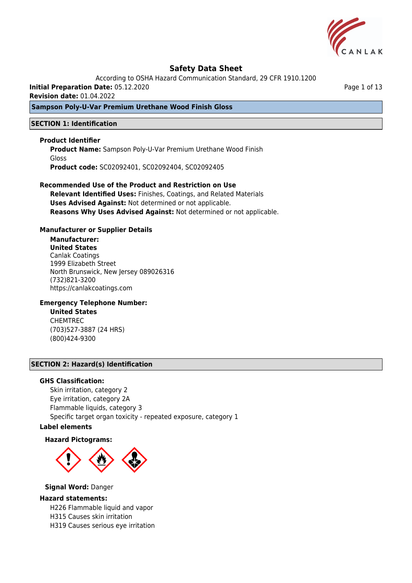

According to OSHA Hazard Communication Standard, 29 CFR 1910.1200

**Initial Preparation Date:** 05.12.2020

**Revision date:** 01.04.2022

## **Sampson Poly-U-Var Premium Urethane Wood Finish Gloss**

### **SECTION 1: Identification**

#### **Product Identifier**

**Product Name:** Sampson Poly-U-Var Premium Urethane Wood Finish Gloss **Product code:** SC02092401, SC02092404, SC02092405

## **Recommended Use of the Product and Restriction on Use Relevant Identified Uses:** Finishes, Coatings, and Related Materials **Uses Advised Against:** Not determined or not applicable. **Reasons Why Uses Advised Against:** Not determined or not applicable.

### **Manufacturer or Supplier Details**

# **Manufacturer:**

**United States** Canlak Coatings 1999 Elizabeth Street North Brunswick, New Jersey 089026316 (732)821-3200 https://canlakcoatings.com

#### **Emergency Telephone Number:**

**United States** CHEMTREC (703)527-3887 (24 HRS) (800)424-9300

#### **SECTION 2: Hazard(s) Identification**

#### **GHS Classification:**

Skin irritation, category 2 Eye irritation, category 2A Flammable liquids, category 3 Specific target organ toxicity - repeated exposure, category 1

## **Label elements**

#### **Hazard Pictograms:**



#### **Signal Word:** Danger

#### **Hazard statements:**

H226 Flammable liquid and vapor

- H315 Causes skin irritation
- H319 Causes serious eye irritation

Page 1 of 13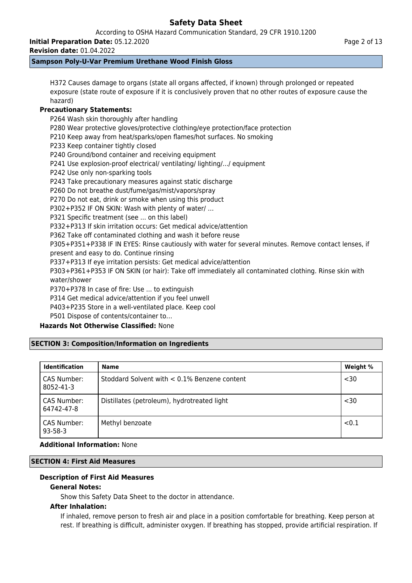According to OSHA Hazard Communication Standard, 29 CFR 1910.1200

**Initial Preparation Date:** 05.12.2020

**Revision date:** 01.04.2022

## **Sampson Poly-U-Var Premium Urethane Wood Finish Gloss**

H372 Causes damage to organs (state all organs affected, if known) through prolonged or repeated exposure (state route of exposure if it is conclusively proven that no other routes of exposure cause the hazard)

## **Precautionary Statements:**

P264 Wash skin thoroughly after handling P280 Wear protective gloves/protective clothing/eye protection/face protection P210 Keep away from heat/sparks/open flames/hot surfaces. No smoking P233 Keep container tightly closed P240 Ground/bond container and receiving equipment P241 Use explosion-proof electrical/ ventilating/ lighting/.../ equipment P242 Use only non-sparking tools P243 Take precautionary measures against static discharge P260 Do not breathe dust/fume/gas/mist/vapors/spray P270 Do not eat, drink or smoke when using this product P302+P352 IF ON SKIN: Wash with plenty of water/ … P321 Specific treatment (see ... on this label) P332+P313 If skin irritation occurs: Get medical advice/attention P362 Take off contaminated clothing and wash it before reuse P305+P351+P338 IF IN EYES: Rinse cautiously with water for several minutes. Remove contact lenses, if present and easy to do. Continue rinsing P337+P313 If eye irritation persists: Get medical advice/attention P303+P361+P353 IF ON SKIN (or hair): Take off immediately all contaminated clothing. Rinse skin with water/shower

P370+P378 In case of fire: Use ... to extinguish

P314 Get medical advice/attention if you feel unwell

P403+P235 Store in a well-ventilated place. Keep cool

P501 Dispose of contents/container to…

## **Hazards Not Otherwise Classified:** None

## **SECTION 3: Composition/Information on Ingredients**

| <b>Identification</b>        | <b>Name</b>                                  | Weight % |
|------------------------------|----------------------------------------------|----------|
| CAS Number:<br>8052-41-3     | Stoddard Solvent with < 0.1% Benzene content | $30$     |
| CAS Number:<br>64742-47-8    | Distillates (petroleum), hydrotreated light  | $30$     |
| CAS Number:<br>$93 - 58 - 3$ | Methyl benzoate                              | < 0.1    |

### **Additional Information:** None

## **SECTION 4: First Aid Measures**

## **Description of First Aid Measures**

## **General Notes:**

Show this Safety Data Sheet to the doctor in attendance.

#### **After Inhalation:**

If inhaled, remove person to fresh air and place in a position comfortable for breathing. Keep person at rest. If breathing is difficult, administer oxygen. If breathing has stopped, provide artificial respiration. If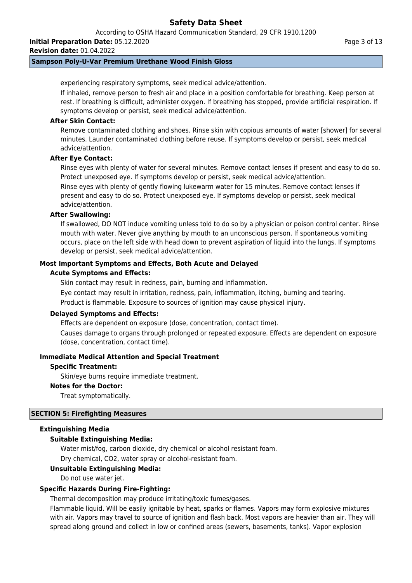According to OSHA Hazard Communication Standard, 29 CFR 1910.1200

**Initial Preparation Date:** 05.12.2020

**Revision date:** 01.04.2022

## **Sampson Poly-U-Var Premium Urethane Wood Finish Gloss**

experiencing respiratory symptoms, seek medical advice/attention.

If inhaled, remove person to fresh air and place in a position comfortable for breathing. Keep person at rest. If breathing is difficult, administer oxygen. If breathing has stopped, provide artificial respiration. If symptoms develop or persist, seek medical advice/attention.

## **After Skin Contact:**

Remove contaminated clothing and shoes. Rinse skin with copious amounts of water [shower] for several minutes. Launder contaminated clothing before reuse. If symptoms develop or persist, seek medical advice/attention.

### **After Eye Contact:**

Rinse eyes with plenty of water for several minutes. Remove contact lenses if present and easy to do so. Protect unexposed eye. If symptoms develop or persist, seek medical advice/attention.

Rinse eyes with plenty of gently flowing lukewarm water for 15 minutes. Remove contact lenses if present and easy to do so. Protect unexposed eye. If symptoms develop or persist, seek medical advice/attention.

#### **After Swallowing:**

If swallowed, DO NOT induce vomiting unless told to do so by a physician or poison control center. Rinse mouth with water. Never give anything by mouth to an unconscious person. If spontaneous vomiting occurs, place on the left side with head down to prevent aspiration of liquid into the lungs. If symptoms develop or persist, seek medical advice/attention.

### **Most Important Symptoms and Effects, Both Acute and Delayed**

#### **Acute Symptoms and Effects:**

Skin contact may result in redness, pain, burning and inflammation. Eye contact may result in irritation, redness, pain, inflammation, itching, burning and tearing. Product is flammable. Exposure to sources of ignition may cause physical injury.

#### **Delayed Symptoms and Effects:**

Effects are dependent on exposure (dose, concentration, contact time).

Causes damage to organs through prolonged or repeated exposure. Effects are dependent on exposure (dose, concentration, contact time).

## **Immediate Medical Attention and Special Treatment**

#### **Specific Treatment:**

Skin/eye burns require immediate treatment.

## **Notes for the Doctor:**

Treat symptomatically.

## **SECTION 5: Firefighting Measures**

#### **Extinguishing Media**

## **Suitable Extinguishing Media:**

Water mist/fog, carbon dioxide, dry chemical or alcohol resistant foam.

Dry chemical, CO2, water spray or alcohol-resistant foam.

## **Unsuitable Extinguishing Media:**

Do not use water jet.

## **Specific Hazards During Fire-Fighting:**

Thermal decomposition may produce irritating/toxic fumes/gases.

Flammable liquid. Will be easily ignitable by heat, sparks or flames. Vapors may form explosive mixtures with air. Vapors may travel to source of ignition and flash back. Most vapors are heavier than air. They will spread along ground and collect in low or confined areas (sewers, basements, tanks). Vapor explosion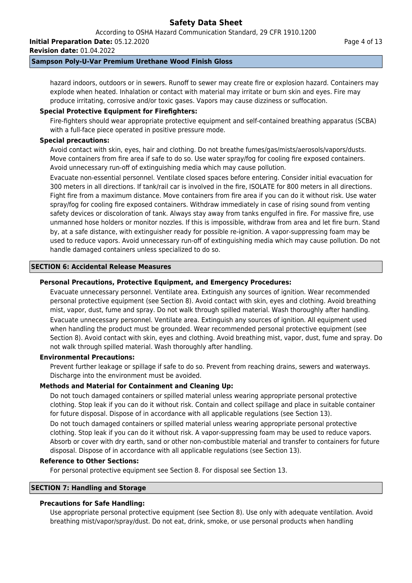According to OSHA Hazard Communication Standard, 29 CFR 1910.1200

**Initial Preparation Date:** 05.12.2020

**Revision date:** 01.04.2022

### **Sampson Poly-U-Var Premium Urethane Wood Finish Gloss**

hazard indoors, outdoors or in sewers. Runoff to sewer may create fire or explosion hazard. Containers may explode when heated. Inhalation or contact with material may irritate or burn skin and eyes. Fire may produce irritating, corrosive and/or toxic gases. Vapors may cause dizziness or suffocation.

## **Special Protective Equipment for Firefighters:**

Fire-fighters should wear appropriate protective equipment and self-contained breathing apparatus (SCBA) with a full-face piece operated in positive pressure mode.

### **Special precautions:**

Avoid contact with skin, eyes, hair and clothing. Do not breathe fumes/gas/mists/aerosols/vapors/dusts. Move containers from fire area if safe to do so. Use water spray/fog for cooling fire exposed containers. Avoid unnecessary run-off of extinguishing media which may cause pollution.

Evacuate non-essential personnel. Ventilate closed spaces before entering. Consider initial evacuation for 300 meters in all directions. If tank/rail car is involved in the fire, ISOLATE for 800 meters in all directions. Fight fire from a maximum distance. Move containers from fire area if you can do it without risk. Use water spray/fog for cooling fire exposed containers. Withdraw immediately in case of rising sound from venting safety devices or discoloration of tank. Always stay away from tanks engulfed in fire. For massive fire, use unmanned hose holders or monitor nozzles. If this is impossible, withdraw from area and let fire burn. Stand by, at a safe distance, with extinguisher ready for possible re-ignition. A vapor-suppressing foam may be used to reduce vapors. Avoid unnecessary run-off of extinguishing media which may cause pollution. Do not handle damaged containers unless specialized to do so.

#### **SECTION 6: Accidental Release Measures**

### **Personal Precautions, Protective Equipment, and Emergency Procedures:**

Evacuate unnecessary personnel. Ventilate area. Extinguish any sources of ignition. Wear recommended personal protective equipment (see Section 8). Avoid contact with skin, eyes and clothing. Avoid breathing mist, vapor, dust, fume and spray. Do not walk through spilled material. Wash thoroughly after handling. Evacuate unnecessary personnel. Ventilate area. Extinguish any sources of ignition. All equipment used when handling the product must be grounded. Wear recommended personal protective equipment (see Section 8). Avoid contact with skin, eyes and clothing. Avoid breathing mist, vapor, dust, fume and spray. Do not walk through spilled material. Wash thoroughly after handling.

#### **Environmental Precautions:**

Prevent further leakage or spillage if safe to do so. Prevent from reaching drains, sewers and waterways. Discharge into the environment must be avoided.

## **Methods and Material for Containment and Cleaning Up:**

Do not touch damaged containers or spilled material unless wearing appropriate personal protective clothing. Stop leak if you can do it without risk. Contain and collect spillage and place in suitable container for future disposal. Dispose of in accordance with all applicable regulations (see Section 13).

Do not touch damaged containers or spilled material unless wearing appropriate personal protective clothing. Stop leak if you can do it without risk. A vapor-suppressing foam may be used to reduce vapors. Absorb or cover with dry earth, sand or other non-combustible material and transfer to containers for future disposal. Dispose of in accordance with all applicable regulations (see Section 13).

#### **Reference to Other Sections:**

For personal protective equipment see Section 8. For disposal see Section 13.

## **SECTION 7: Handling and Storage**

## **Precautions for Safe Handling:**

Use appropriate personal protective equipment (see Section 8). Use only with adequate ventilation. Avoid breathing mist/vapor/spray/dust. Do not eat, drink, smoke, or use personal products when handling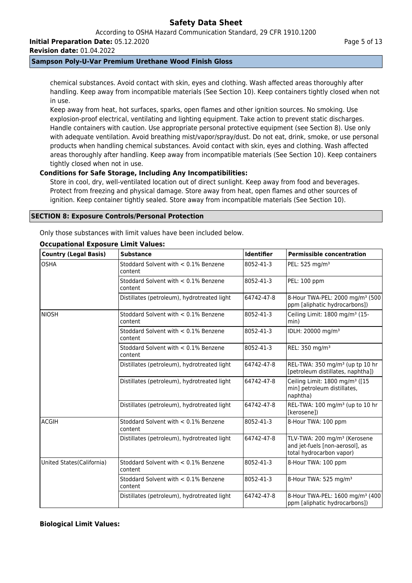According to OSHA Hazard Communication Standard, 29 CFR 1910.1200

**Initial Preparation Date:** 05.12.2020

**Revision date:** 01.04.2022

## **Sampson Poly-U-Var Premium Urethane Wood Finish Gloss**

chemical substances. Avoid contact with skin, eyes and clothing. Wash affected areas thoroughly after handling. Keep away from incompatible materials (See Section 10). Keep containers tightly closed when not in use.

Keep away from heat, hot surfaces, sparks, open flames and other ignition sources. No smoking. Use explosion-proof electrical, ventilating and lighting equipment. Take action to prevent static discharges. Handle containers with caution. Use appropriate personal protective equipment (see Section 8). Use only with adequate ventilation. Avoid breathing mist/vapor/spray/dust. Do not eat, drink, smoke, or use personal products when handling chemical substances. Avoid contact with skin, eyes and clothing. Wash affected areas thoroughly after handling. Keep away from incompatible materials (See Section 10). Keep containers tightly closed when not in use.

## **Conditions for Safe Storage, Including Any Incompatibilities:**

Store in cool, dry, well-ventilated location out of direct sunlight. Keep away from food and beverages. Protect from freezing and physical damage. Store away from heat, open flames and other sources of ignition. Keep container tightly sealed. Store away from incompatible materials (See Section 10).

## **SECTION 8: Exposure Controls/Personal Protection**

Only those substances with limit values have been included below.

## **Occupational Exposure Limit Values:**

| <b>Country (Legal Basis)</b> | <b>Substance</b>                                   | <b>Identifier</b> | <b>Permissible concentration</b>                                                                        |
|------------------------------|----------------------------------------------------|-------------------|---------------------------------------------------------------------------------------------------------|
| <b>OSHA</b>                  | Stoddard Solvent with $< 0.1\%$ Benzene<br>content | 8052-41-3         | PEL: 525 mg/m <sup>3</sup>                                                                              |
|                              | Stoddard Solvent with < 0.1% Benzene<br>content    | 8052-41-3         | PEL: 100 ppm                                                                                            |
|                              | Distillates (petroleum), hydrotreated light        | 64742-47-8        | 8-Hour TWA-PEL: 2000 mg/m <sup>3</sup> (500<br>ppm [aliphatic hydrocarbons])                            |
| NIOSH                        | Stoddard Solvent with $< 0.1\%$ Benzene<br>content | 8052-41-3         | Ceiling Limit: 1800 mg/m <sup>3</sup> (15-<br>min)                                                      |
|                              | Stoddard Solvent with < 0.1% Benzene<br>content    | 8052-41-3         | IDLH: 20000 mg/m <sup>3</sup>                                                                           |
|                              | Stoddard Solvent with < 0.1% Benzene<br>content    | 8052-41-3         | REL: 350 mg/m <sup>3</sup>                                                                              |
|                              | Distillates (petroleum), hydrotreated light        | 64742-47-8        | REL-TWA: 350 mg/m <sup>3</sup> (up tp 10 hr<br>[petroleum distillates, naphtha])                        |
|                              | Distillates (petroleum), hydrotreated light        | 64742-47-8        | Ceiling Limit: 1800 mg/m <sup>3</sup> ([15<br>min] petroleum distillates,<br>naphtha)                   |
|                              | Distillates (petroleum), hydrotreated light        | 64742-47-8        | REL-TWA: 100 mg/m <sup>3</sup> (up to 10 hr<br>[kerosene])                                              |
| ACGIH                        | Stoddard Solvent with $< 0.1\%$ Benzene<br>content | 8052-41-3         | 8-Hour TWA: 100 ppm                                                                                     |
|                              | Distillates (petroleum), hydrotreated light        | 64742-47-8        | TLV-TWA: 200 mg/m <sup>3</sup> (Kerosene<br>and jet-fuels [non-aerosol], as<br>total hydrocarbon vapor) |
| United States (California)   | Stoddard Solvent with $< 0.1\%$ Benzene<br>content | 8052-41-3         | 8-Hour TWA: 100 ppm                                                                                     |
|                              | Stoddard Solvent with < 0.1% Benzene<br>content    | 8052-41-3         | 8-Hour TWA: 525 mg/m <sup>3</sup>                                                                       |
|                              | Distillates (petroleum), hydrotreated light        | 64742-47-8        | 8-Hour TWA-PEL: 1600 mg/m <sup>3</sup> (400)<br>ppm [aliphatic hydrocarbons])                           |

## **Biological Limit Values:**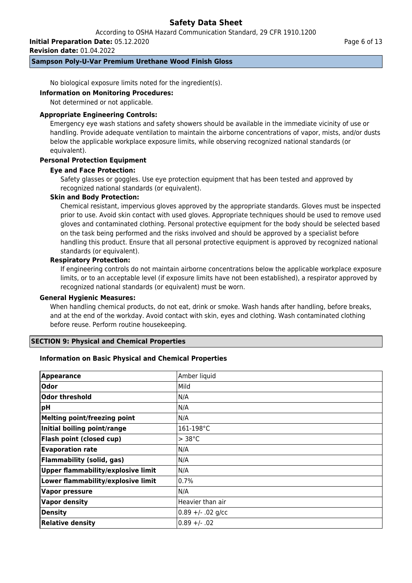According to OSHA Hazard Communication Standard, 29 CFR 1910.1200

**Initial Preparation Date:** 05.12.2020

**Revision date:** 01.04.2022

## **Sampson Poly-U-Var Premium Urethane Wood Finish Gloss**

No biological exposure limits noted for the ingredient(s).

#### **Information on Monitoring Procedures:**

Not determined or not applicable.

### **Appropriate Engineering Controls:**

Emergency eye wash stations and safety showers should be available in the immediate vicinity of use or handling. Provide adequate ventilation to maintain the airborne concentrations of vapor, mists, and/or dusts below the applicable workplace exposure limits, while observing recognized national standards (or equivalent).

## **Personal Protection Equipment**

### **Eye and Face Protection:**

Safety glasses or goggles. Use eye protection equipment that has been tested and approved by recognized national standards (or equivalent).

### **Skin and Body Protection:**

Chemical resistant, impervious gloves approved by the appropriate standards. Gloves must be inspected prior to use. Avoid skin contact with used gloves. Appropriate techniques should be used to remove used gloves and contaminated clothing. Personal protective equipment for the body should be selected based on the task being performed and the risks involved and should be approved by a specialist before handling this product. Ensure that all personal protective equipment is approved by recognized national standards (or equivalent).

### **Respiratory Protection:**

If engineering controls do not maintain airborne concentrations below the applicable workplace exposure limits, or to an acceptable level (if exposure limits have not been established), a respirator approved by recognized national standards (or equivalent) must be worn.

#### **General Hygienic Measures:**

When handling chemical products, do not eat, drink or smoke. Wash hands after handling, before breaks, and at the end of the workday. Avoid contact with skin, eyes and clothing. Wash contaminated clothing before reuse. Perform routine housekeeping.

## **SECTION 9: Physical and Chemical Properties**

## **Information on Basic Physical and Chemical Properties**

| <b>Appearance</b>                         | Amber liquid        |
|-------------------------------------------|---------------------|
| <b>Odor</b>                               | Mild                |
| Odor threshold                            | N/A                 |
| pH                                        | N/A                 |
| <b>Melting point/freezing point</b>       | N/A                 |
| Initial boiling point/range               | 161-198°C           |
| Flash point (closed cup)                  | $> 38^{\circ}$ C    |
| <b>Evaporation rate</b>                   | N/A                 |
| <b>Flammability (solid, gas)</b>          | N/A                 |
| <b>Upper flammability/explosive limit</b> | N/A                 |
| Lower flammability/explosive limit        | 0.7%                |
| <b>Vapor pressure</b>                     | N/A                 |
| <b>Vapor density</b>                      | Heavier than air    |
| <b>Density</b>                            | $0.89 +/- .02$ g/cc |
| <b>Relative density</b>                   | $0.89 + (-0.02)$    |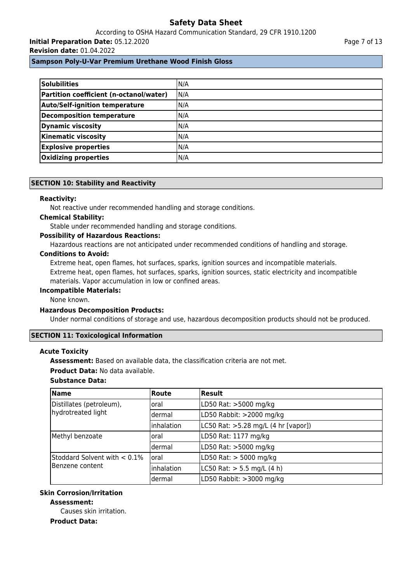According to OSHA Hazard Communication Standard, 29 CFR 1910.1200 **Initial Preparation Date:** 05.12.2020 **Revision date:** 01.04.2022

## **Sampson Poly-U-Var Premium Urethane Wood Finish Gloss**

| <b>Solubilities</b>                     | N/A |
|-----------------------------------------|-----|
| Partition coefficient (n-octanol/water) | N/A |
| <b>Auto/Self-ignition temperature</b>   | N/A |
| <b>Decomposition temperature</b>        | N/A |
| <b>Dynamic viscosity</b>                | N/A |
| <b>Kinematic viscosity</b>              | N/A |
| <b>Explosive properties</b>             | N/A |
| Oxidizing properties                    | N/A |

### **SECTION 10: Stability and Reactivity**

#### **Reactivity:**

Not reactive under recommended handling and storage conditions.

#### **Chemical Stability:**

Stable under recommended handling and storage conditions.

#### **Possibility of Hazardous Reactions:**

Hazardous reactions are not anticipated under recommended conditions of handling and storage.

## **Conditions to Avoid:**

Extreme heat, open flames, hot surfaces, sparks, ignition sources and incompatible materials. Extreme heat, open flames, hot surfaces, sparks, ignition sources, static electricity and incompatible materials. Vapor accumulation in low or confined areas.

#### **Incompatible Materials:**

None known.

#### **Hazardous Decomposition Products:**

Under normal conditions of storage and use, hazardous decomposition products should not be produced.

#### **SECTION 11: Toxicological Information**

#### **Acute Toxicity**

**Assessment:** Based on available data, the classification criteria are not met.

#### **Product Data:** No data available.

## **Substance Data:**

| <b>Name</b>                     | Route      | <b>Result</b>                       |
|---------------------------------|------------|-------------------------------------|
| Distillates (petroleum),        | loral      | LD50 Rat: >5000 mg/kg               |
| hydrotreated light              | ldermal    | LD50 Rabbit: >2000 mg/kg            |
|                                 | Inhalation | LC50 Rat: >5.28 mg/L (4 hr [vapor]) |
| Methyl benzoate                 | loral      | LD50 Rat: 1177 mg/kg                |
|                                 | ldermal    | LD50 Rat: >5000 mg/kg               |
| Stoddard Solvent with $< 0.1\%$ | loral      | LD50 Rat: > 5000 mg/kg              |
| Benzene content                 | inhalation | LC50 Rat: $> 5.5$ mg/L (4 h)        |
|                                 | dermal     | LD50 Rabbit: >3000 mg/kg            |

## **Skin Corrosion/Irritation**

## **Assessment:**

Causes skin irritation.

### **Product Data:**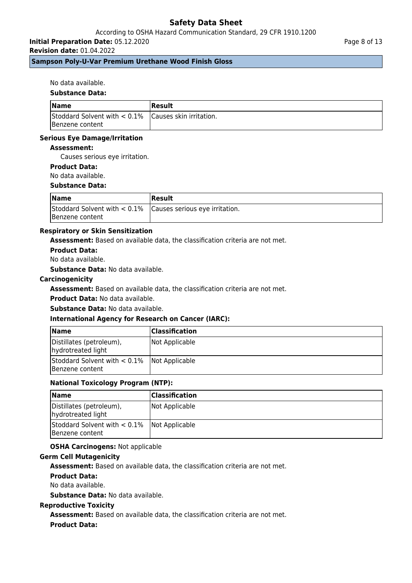## According to OSHA Hazard Communication Standard, 29 CFR 1910.1200

**Initial Preparation Date:** 05.12.2020

**Revision date:** 01.04.2022

#### Page 8 of 13

## **Sampson Poly-U-Var Premium Urethane Wood Finish Gloss**

No data available.

### **Substance Data:**

| <b>Name</b>                                             | Result |
|---------------------------------------------------------|--------|
| Stoddard Solvent with $< 0.1\%$ Causes skin irritation. |        |
| Benzene content                                         |        |

### **Serious Eye Damage/Irritation**

#### **Assessment:**

Causes serious eye irritation.

### **Product Data:**

No data available.

## **Substance Data:**

| <b>Name</b>                                                      | <b> Result</b> |
|------------------------------------------------------------------|----------------|
| Stoddard Solvent with $< 0.1\%$   Causes serious eye irritation. |                |
| Benzene content                                                  |                |

## **Respiratory or Skin Sensitization**

**Assessment:** Based on available data, the classification criteria are not met.

### **Product Data:**

No data available.

**Substance Data:** No data available.

#### **Carcinogenicity**

**Assessment:** Based on available data, the classification criteria are not met.

**Product Data:** No data available.

**Substance Data:** No data available.

## **International Agency for Research on Cancer (IARC):**

| <b>Name</b>                                                       | <b>Classification</b> |
|-------------------------------------------------------------------|-----------------------|
| Distillates (petroleum),<br>hydrotreated light                    | Not Applicable        |
| Stoddard Solvent with $< 0.1\%$ Not Applicable<br>Benzene content |                       |

## **National Toxicology Program (NTP):**

| <b>Name</b>                                                       | <b>Classification</b> |
|-------------------------------------------------------------------|-----------------------|
| Distillates (petroleum),<br>hydrotreated light                    | Not Applicable        |
| Stoddard Solvent with $< 0.1\%$ Not Applicable<br>Benzene content |                       |

## **OSHA Carcinogens:** Not applicable

## **Germ Cell Mutagenicity**

**Assessment:** Based on available data, the classification criteria are not met.

#### **Product Data:**

No data available.

**Substance Data:** No data available.

#### **Reproductive Toxicity**

**Assessment:** Based on available data, the classification criteria are not met.

## **Product Data:**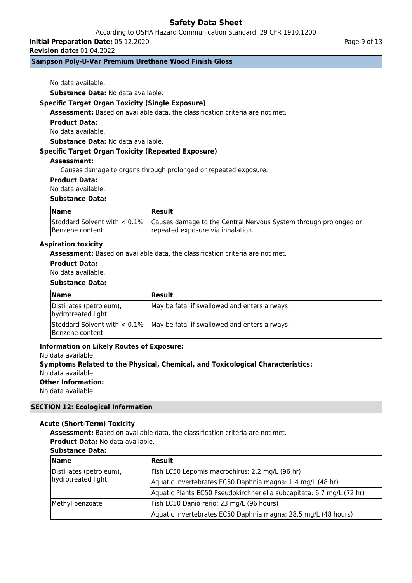According to OSHA Hazard Communication Standard, 29 CFR 1910.1200

**Initial Preparation Date:** 05.12.2020

**Revision date:** 01.04.2022

## **Sampson Poly-U-Var Premium Urethane Wood Finish Gloss**

No data available.

**Substance Data:** No data available.

### **Specific Target Organ Toxicity (Single Exposure)**

**Assessment:** Based on available data, the classification criteria are not met.

**Product Data:**

No data available.

**Substance Data:** No data available.

#### **Specific Target Organ Toxicity (Repeated Exposure)**

#### **Assessment:**

Causes damage to organs through prolonged or repeated exposure.

#### **Product Data:**

No data available.

## **Substance Data:**

| <b>Name</b>     | <b>IResult</b>                                                                                |
|-----------------|-----------------------------------------------------------------------------------------------|
|                 | Stoddard Solvent with < 0.1% Causes damage to the Central Nervous System through prolonged or |
| Benzene content | repeated exposure via inhalation.                                                             |

#### **Aspiration toxicity**

**Assessment:** Based on available data, the classification criteria are not met.

#### **Product Data:**

No data available.

#### **Substance Data:**

| <b>Name</b>                                        | <b>Result</b>                                 |
|----------------------------------------------------|-----------------------------------------------|
| Distillates (petroleum),<br>hydrotreated light     | May be fatal if swallowed and enters airways. |
| Stoddard Solvent with $< 0.1\%$<br>Benzene content | May be fatal if swallowed and enters airways. |

#### **Information on Likely Routes of Exposure:**

No data available.

**Symptoms Related to the Physical, Chemical, and Toxicological Characteristics:** No data available.

## **Other Information:**

No data available.

## **SECTION 12: Ecological Information**

#### **Acute (Short-Term) Toxicity**

**Assessment:** Based on available data, the classification criteria are not met.

**Product Data:** No data available.

### **Substance Data:**

| <b>Name</b>                                    | <b>Result</b>                                                         |
|------------------------------------------------|-----------------------------------------------------------------------|
| Distillates (petroleum),<br>hydrotreated light | Fish LC50 Lepomis macrochirus: 2.2 mg/L (96 hr)                       |
|                                                | Aquatic Invertebrates EC50 Daphnia magna: 1.4 mg/L (48 hr)            |
|                                                | Aquatic Plants EC50 Pseudokirchneriella subcapitata: 6.7 mg/L (72 hr) |
| Methyl benzoate                                | Fish LC50 Danio rerio: 23 mg/L (96 hours)                             |
|                                                | Aquatic Invertebrates EC50 Daphnia magna: 28.5 mg/L (48 hours)        |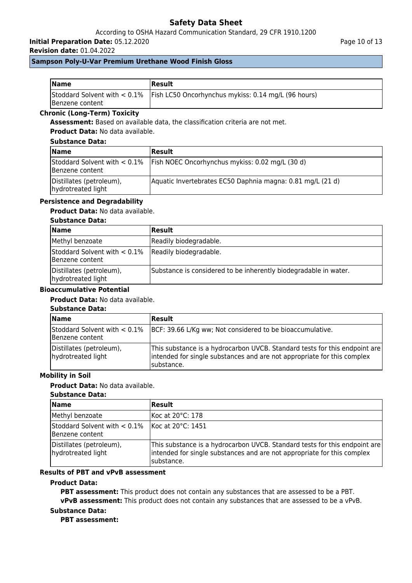## According to OSHA Hazard Communication Standard, 29 CFR 1910.1200

**Initial Preparation Date:** 05.12.2020

**Revision date:** 01.04.2022

Page 10 of 13

## **Sampson Poly-U-Var Premium Urethane Wood Finish Gloss**

| <b>Name</b>             | Result                                                                              |
|-------------------------|-------------------------------------------------------------------------------------|
| <b>IBenzene content</b> | Stoddard Solvent with $< 0.1\%$ Fish LC50 Oncorhynchus mykiss: 0.14 mg/L (96 hours) |

## **Chronic (Long-Term) Toxicity**

**Assessment:** Based on available data, the classification criteria are not met.

**Product Data:** No data available.

## **Substance Data:**

| <b>Name</b>                                    | <b>Result</b>                                                                   |
|------------------------------------------------|---------------------------------------------------------------------------------|
| Benzene content                                | Stoddard Solvent with $< 0.1\%$ Fish NOEC Oncorhynchus mykiss: 0.02 mg/L (30 d) |
| Distillates (petroleum),<br>hydrotreated light | Aquatic Invertebrates EC50 Daphnia magna: 0.81 mg/L (21 d)                      |

## **Persistence and Degradability**

**Product Data:** No data available.

## **Substance Data:**

| <b>Name</b>                                                               | <b>Result</b>                                                    |
|---------------------------------------------------------------------------|------------------------------------------------------------------|
| Methyl benzoate                                                           | Readily biodegradable.                                           |
| Stoddard Solvent with $< 0.1\%$ Readily biodegradable.<br>Benzene content |                                                                  |
| Distillates (petroleum),<br>hydrotreated light                            | Substance is considered to be inherently biodegradable in water. |

### **Bioaccumulative Potential**

#### **Product Data:** No data available.

#### **Substance Data:**

| <b>Name</b>                                        | Result                                                                                                                                                               |
|----------------------------------------------------|----------------------------------------------------------------------------------------------------------------------------------------------------------------------|
| Stoddard Solvent with $< 0.1\%$<br>Benzene content | BCF: 39.66 L/Kg ww; Not considered to be bioaccumulative.                                                                                                            |
| Distillates (petroleum),<br>hydrotreated light     | This substance is a hydrocarbon UVCB. Standard tests for this endpoint are<br>intended for single substances and are not appropriate for this complex<br>Isubstance. |

## **Mobility in Soil**

## **Product Data:** No data available.

### **Substance Data:**

| <b>Name</b>                                                            | Result                                                                                                                                                              |
|------------------------------------------------------------------------|---------------------------------------------------------------------------------------------------------------------------------------------------------------------|
| Methyl benzoate                                                        | Koc at 20°C: 178                                                                                                                                                    |
| Stoddard Solvent with $< 0.1\%$   Koc at 20°C: 1451<br>Benzene content |                                                                                                                                                                     |
| Distillates (petroleum),<br>hydrotreated light                         | This substance is a hydrocarbon UVCB. Standard tests for this endpoint are<br>intended for single substances and are not appropriate for this complex<br>substance. |

#### **Results of PBT and vPvB assessment**

## **Product Data:**

**PBT assessment:** This product does not contain any substances that are assessed to be a PBT. **vPvB assessment:** This product does not contain any substances that are assessed to be a vPvB.

## **Substance Data:**

**PBT assessment:**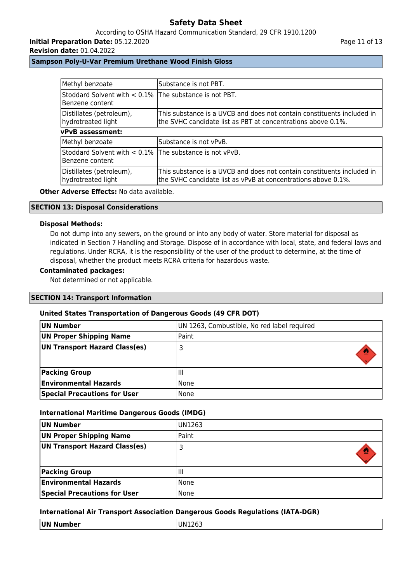## According to OSHA Hazard Communication Standard, 29 CFR 1910.1200

**Initial Preparation Date:** 05.12.2020

#### **Revision date:** 01.04.2022

Page 11 of 13

### **Sampson Poly-U-Var Premium Urethane Wood Finish Gloss**

| Methyl benzoate                                                            | Substance is not PBT.                                                                                                                   |  |
|----------------------------------------------------------------------------|-----------------------------------------------------------------------------------------------------------------------------------------|--|
| Stoddard Solvent with < 0.1% The substance is not PBT.<br>Benzene content  |                                                                                                                                         |  |
| Distillates (petroleum),<br>hydrotreated light                             | This substance is a UVCB and does not contain constituents included in<br>the SVHC candidate list as PBT at concentrations above 0.1%.  |  |
| <b>vPvB</b> assessment:                                                    |                                                                                                                                         |  |
| Methyl benzoate                                                            | Substance is not vPvB.                                                                                                                  |  |
| Stoddard Solvent with < 0.1% The substance is not vPvB.<br>Benzene content |                                                                                                                                         |  |
| Distillates (petroleum),<br>hydrotreated light                             | This substance is a UVCB and does not contain constituents included in<br>the SVHC candidate list as vPvB at concentrations above 0.1%. |  |

### **Other Adverse Effects: No data available.**

### **SECTION 13: Disposal Considerations**

### **Disposal Methods:**

Do not dump into any sewers, on the ground or into any body of water. Store material for disposal as indicated in Section 7 Handling and Storage. Dispose of in accordance with local, state, and federal laws and regulations. Under RCRA, it is the responsibility of the user of the product to determine, at the time of disposal, whether the product meets RCRA criteria for hazardous waste.

## **Contaminated packages:**

Not determined or not applicable.

### **SECTION 14: Transport Information**

## **United States Transportation of Dangerous Goods (49 CFR DOT)**

| UN Number                           | UN 1263, Combustible, No red label required |  |
|-------------------------------------|---------------------------------------------|--|
| UN Proper Shipping Name             | Paint                                       |  |
| UN Transport Hazard Class(es)       |                                             |  |
| <b>Packing Group</b>                | Ш                                           |  |
| <b>Environmental Hazards</b>        | None                                        |  |
| <b>Special Precautions for User</b> | None                                        |  |

### **International Maritime Dangerous Goods (IMDG)**

| UN Number                           | UN1263 |
|-------------------------------------|--------|
| <b>UN Proper Shipping Name</b>      | Paint  |
| UN Transport Hazard Class(es)       |        |
|                                     |        |
| <b>Packing Group</b>                | Шι     |
| <b>Environmental Hazards</b>        | None   |
| <b>Special Precautions for User</b> | None   |

## **International Air Transport Association Dangerous Goods Regulations (IATA-DGR)**

| UN Number | IN 1<br>NIZ03 |
|-----------|---------------|
|           |               |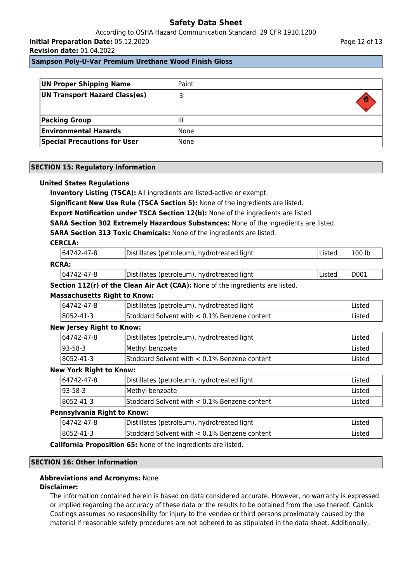According to OSHA Hazard Communication Standard, 29 CFR 1910.1200 **Initial Preparation Date:** 05.12.2020

**Revision date:** 01.04.2022

**Sampson Poly-U-Var Premium Urethane Wood Finish Gloss**

| <b>UN Proper Shipping Name</b>      | Paint  |
|-------------------------------------|--------|
| UN Transport Hazard Class(es)       |        |
| <b>Packing Group</b>                | Ш      |
| <b>Environmental Hazards</b>        | l None |
| <b>Special Precautions for User</b> | None   |

### **SECTION 15: Regulatory Information**

#### **United States Regulations**

**Inventory Listing (TSCA):** All ingredients are listed-active or exempt.

**Significant New Use Rule (TSCA Section 5):** None of the ingredients are listed.

**Export Notification under TSCA Section 12(b):** None of the ingredients are listed.

**SARA Section 302 Extremely Hazardous Substances:** None of the ingredients are listed.

**SARA Section 313 Toxic Chemicals:** None of the ingredients are listed.

### **CERCLA:**

|              | 64742-47-8  | Distillates (petroleum), hydrotreated light | lListed | '100 lb |  |
|--------------|-------------|---------------------------------------------|---------|---------|--|
| <b>RCRA:</b> |             |                                             |         |         |  |
|              | 164742-47-8 | Distillates (petroleum), hydrotreated light | lListed | 'D001   |  |

# **Section 112(r) of the Clean Air Act (CAA):** None of the ingredients are listed.

| <b>Massachusetts Right to Know:</b> |                                              |         |  |  |
|-------------------------------------|----------------------------------------------|---------|--|--|
| 64742-47-8                          | Distillates (petroleum), hydrotreated light  | lListed |  |  |
| $ 8052 - 41 - 3 $                   | Stoddard Solvent with < 0.1% Benzene content | lListed |  |  |
| .                                   |                                              |         |  |  |

#### **New Jersey Right to Know:**

| 64742-47-8 | Distillates (petroleum), hydrotreated light     | lListed |
|------------|-------------------------------------------------|---------|
| 193-58-3   | Methyl benzoate                                 | lListed |
| 8052-41-3  | Stoddard Solvent with $< 0.1\%$ Benzene content | lListed |

### **New York Right to Know:**

| -                           |                                               |                |
|-----------------------------|-----------------------------------------------|----------------|
| 64742-47-8                  | Distillates (petroleum), hydrotreated light   | lListed        |
| 93-58-3                     | Methyl benzoate                               | <b>IListed</b> |
| 8052-41-3                   | IStoddard Solvent with < 0.1% Benzene content | lListed        |
| Pennsylvania Right to Know: |                                               |                |
|                             |                                               |                |

| 18052-41-3<br>Stoddard Solvent with $< 0.1\%$ Benzene content | lListec |
|---------------------------------------------------------------|---------|

**California Proposition 65:** None of the ingredients are listed.

#### **SECTION 16: Other Information**

#### **Abbreviations and Acronyms:** None

#### **Disclaimer:**

The information contained herein is based on data considered accurate. However, no warranty is expressed or implied regarding the accuracy of these data or the results to be obtained from the use thereof. Canlak Coatings assumes no responsibility for injury to the vendee or third persons proximately caused by the material if reasonable safety procedures are not adhered to as stipulated in the data sheet. Additionally,